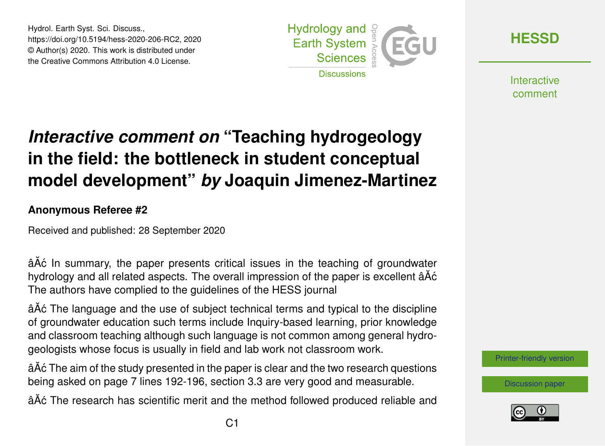Hydrol. Earth Syst. Sci. Discuss., https://doi.org/10.5194/hess-2020-206-RC2, 2020 © Author(s) 2020. This work is distributed under the Creative Commons Attribution 4.0 License.



**[HESSD](https://hess.copernicus.org/preprints/)**

**Interactive** comment

## *Interactive comment on* **"Teaching hydrogeology in the field: the bottleneck in student conceptual model development"** *by* **Joaquin Jimenez-Martinez**

## **Anonymous Referee #2**

Received and published: 28 September 2020

âĂć In summary, the paper presents critical issues in the teaching of groundwater hydrology and all related aspects. The overall impression of the paper is excellent âAc The authors have complied to the guidelines of the HESS journal

â $\tilde{A}$ c The language and the use of subject technical terms and typical to the discipline of groundwater education such terms include Inquiry-based learning, prior knowledge and classroom teaching although such language is not common among general hydrogeologists whose focus is usually in field and lab work not classroom work.

â $\tilde{A}$ c The aim of the study presented in the paper is clear and the two research questions being asked on page 7 lines 192-196, section 3.3 are very good and measurable.

âĂć The research has scientific merit and the method followed produced reliable and

[Printer-friendly version](https://hess.copernicus.org/preprints/hess-2020-206/hess-2020-206-RC2-print.pdf)

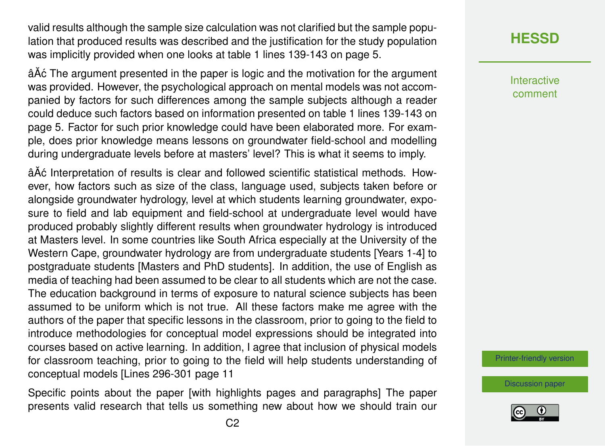valid results although the sample size calculation was not clarified but the sample population that produced results was described and the justification for the study population was implicitly provided when one looks at table 1 lines 139-143 on page 5.

â $\tilde{A}$ c The argument presented in the paper is logic and the motivation for the argument was provided. However, the psychological approach on mental models was not accompanied by factors for such differences among the sample subjects although a reader could deduce such factors based on information presented on table 1 lines 139-143 on page 5. Factor for such prior knowledge could have been elaborated more. For example, does prior knowledge means lessons on groundwater field-school and modelling during undergraduate levels before at masters' level? This is what it seems to imply.

â $\tilde{A}$ ć Interpretation of results is clear and followed scientific statistical methods. However, how factors such as size of the class, language used, subjects taken before or alongside groundwater hydrology, level at which students learning groundwater, exposure to field and lab equipment and field-school at undergraduate level would have produced probably slightly different results when groundwater hydrology is introduced at Masters level. In some countries like South Africa especially at the University of the Western Cape, groundwater hydrology are from undergraduate students [Years 1-4] to postgraduate students [Masters and PhD students]. In addition, the use of English as media of teaching had been assumed to be clear to all students which are not the case. The education background in terms of exposure to natural science subjects has been assumed to be uniform which is not true. All these factors make me agree with the authors of the paper that specific lessons in the classroom, prior to going to the field to introduce methodologies for conceptual model expressions should be integrated into courses based on active learning. In addition, I agree that inclusion of physical models for classroom teaching, prior to going to the field will help students understanding of conceptual models [Lines 296-301 page 11

Specific points about the paper [with highlights pages and paragraphs] The paper presents valid research that tells us something new about how we should train our Interactive comment

[Printer-friendly version](https://hess.copernicus.org/preprints/hess-2020-206/hess-2020-206-RC2-print.pdf)

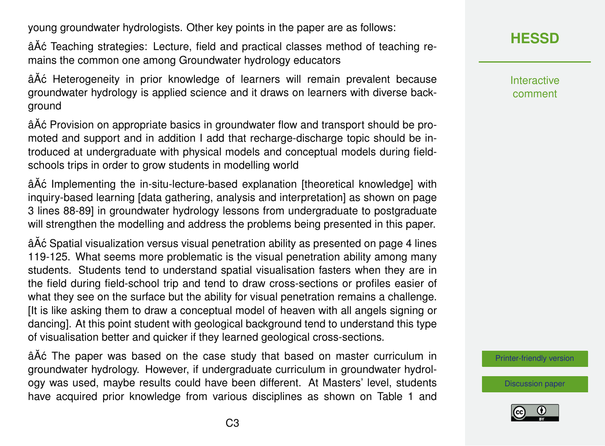young groundwater hydrologists. Other key points in the paper are as follows:

âA $\acute{\rm{o}}$  Teaching strategies: Lecture, field and practical classes method of teaching remains the common one among Groundwater hydrology educators

âA $\acute{\text{o}}$  Heterogeneity in prior knowledge of learners will remain prevalent because groundwater hydrology is applied science and it draws on learners with diverse background

âÁc Provision on appropriate basics in groundwater flow and transport should be promoted and support and in addition I add that recharge-discharge topic should be introduced at undergraduate with physical models and conceptual models during fieldschools trips in order to grow students in modelling world

â $\tilde{A}$ ć Implementing the in-situ-lecture-based explanation [theoretical knowledge] with inquiry-based learning [data gathering, analysis and interpretation] as shown on page 3 lines 88-89] in groundwater hydrology lessons from undergraduate to postgraduate will strengthen the modelling and address the problems being presented in this paper.

âĂć Spatial visualization versus visual penetration ability as presented on page 4 lines 119-125. What seems more problematic is the visual penetration ability among many students. Students tend to understand spatial visualisation fasters when they are in the field during field-school trip and tend to draw cross-sections or profiles easier of what they see on the surface but the ability for visual penetration remains a challenge. [It is like asking them to draw a conceptual model of heaven with all angels signing or dancing]. At this point student with geological background tend to understand this type of visualisation better and quicker if they learned geological cross-sections.

âĂć The paper was based on the case study that based on master curriculum in groundwater hydrology. However, if undergraduate curriculum in groundwater hydrology was used, maybe results could have been different. At Masters' level, students have acquired prior knowledge from various disciplines as shown on Table 1 and **[HESSD](https://hess.copernicus.org/preprints/)**

Interactive comment

[Printer-friendly version](https://hess.copernicus.org/preprints/hess-2020-206/hess-2020-206-RC2-print.pdf)